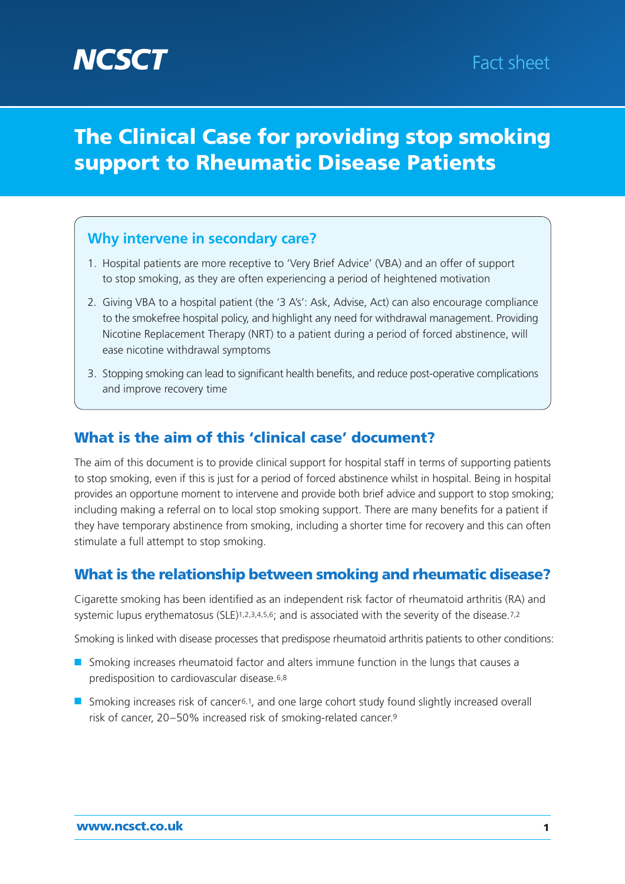# **The Clinical Case for providing stop smoking support to Rheumatic Disease Patients**

### **Why intervene in secondary care?**

- 1. Hospital patients are more receptive to 'Very Brief Advice' (VBA) and an offer of support to stop smoking, as they are often experiencing a period of heightened motivation
- 2. Giving VBA to a hospital patient (the '3 A's': Ask, Advise, Act) can also encourage compliance to the smokefree hospital policy, and highlight any need for withdrawal management. Providing Nicotine Replacement Therapy (NRT) to a patient during a period of forced abstinence, will ease nicotine withdrawal symptoms
- 3. Stopping smoking can lead to significant health benefits, and reduce post-operative complications and improve recovery time

### **What is the aim of this 'clinical case' document?**

The aim of this document is to provide clinical support for hospital staff in terms of supporting patients to stop smoking, even if this is just for a period of forced abstinence whilst in hospital. Being in hospital provides an opportune moment to intervene and provide both brief advice and support to stop smoking; including making a referral on to local stop smoking support. There are many benefits for a patient if they have temporary abstinence from smoking, including a shorter time for recovery and this can often stimulate a full attempt to stop smoking.

### **What is the relationship between smoking and rheumatic disease?**

Cigarette smoking has been identified as an independent risk factor of rheumatoid arthritis (RA) and systemic lupus erythematosus (SLE)<sup>1,2,3,4,5,6</sup>; and is associated with the severity of the disease.<sup>7,2</sup>

Smoking is linked with disease processes that predispose rheumatoid arthritis patients to other conditions:

- Smoking increases rheumatoid factor and alters immune function in the lungs that causes a predisposition to cardiovascular disease.6,8
- Smoking increases risk of cancer<sup>6,1</sup>, and one large cohort study found slightly increased overall risk of cancer, 20–50% increased risk of smoking-related cancer.9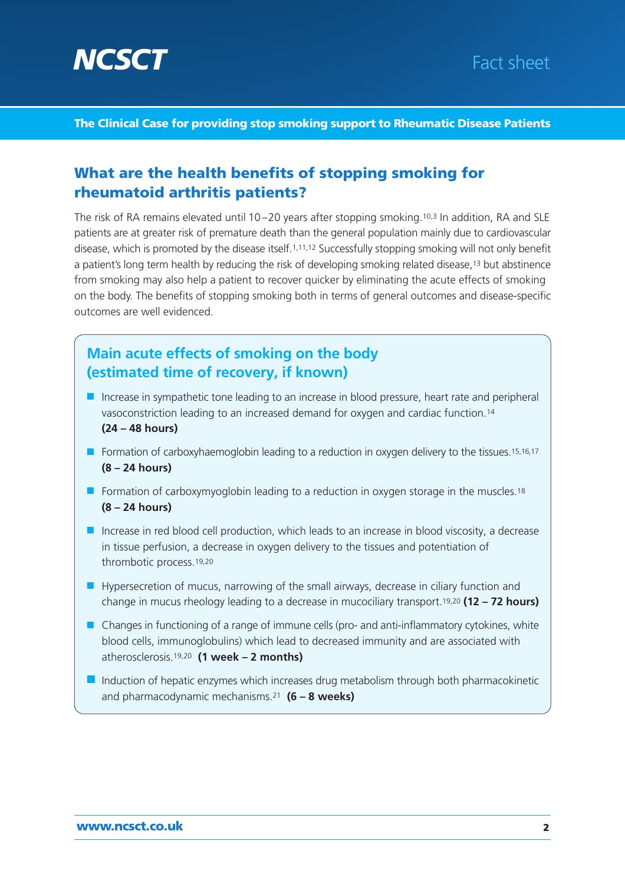

# Fact sheet

#### **The Clinical Case for providing stop smoking support to Rheumatic Disease Patients**

#### **What are the health benefits of stopping smoking for rheumatoid arthritis patients?**

The risk of RA remains elevated until 10–20 years after stopping smoking.10,3 In addition, RA and SLE patients are at greater risk of premature death than the general population mainly due to cardiovascular disease, which is promoted by the disease itself.1,11,12 Successfully stopping smoking will not only benefit a patient's long term health by reducing the risk of developing smoking related disease,13 but abstinence from smoking may also help a patient to recover quicker by eliminating the acute effects of smoking on the body. The benefits of stopping smoking both in terms of general outcomes and disease-specific outcomes are well evidenced.

### **Main acute effects of smoking on the body (estimated time of recovery, if known)**

- Increase in sympathetic tone leading to an increase in blood pressure, heart rate and peripheral vasoconstriction leading to an increased demand for oxygen and cardiac function.14 **(24 – 48 hours)**
- Formation of carboxyhaemoglobin leading to a reduction in oxygen delivery to the tissues.<sup>15,16,17</sup> **(8 – 24 hours)**
- Formation of carboxymyoglobin leading to a reduction in oxygen storage in the muscles.<sup>18</sup> **(8 – 24 hours)**
- Increase in red blood cell production, which leads to an increase in blood viscosity, a decrease in tissue perfusion, a decrease in oxygen delivery to the tissues and potentiation of thrombotic process.19,20
- Hypersecretion of mucus, narrowing of the small airways, decrease in ciliary function and change in mucus rheology leading to a decrease in mucociliary transport.19,20 **(12 – 72 hours)**
- Changes in functioning of a range of immune cells (pro- and anti-inflammatory cytokines, white blood cells, immunoglobulins) which lead to decreased immunity and are associated with atherosclerosis.19,20 **(1 week – 2 months)**
- Induction of hepatic enzymes which increases drug metabolism through both pharmacokinetic and pharmacodynamic mechanisms.21 **(6 – 8 weeks)**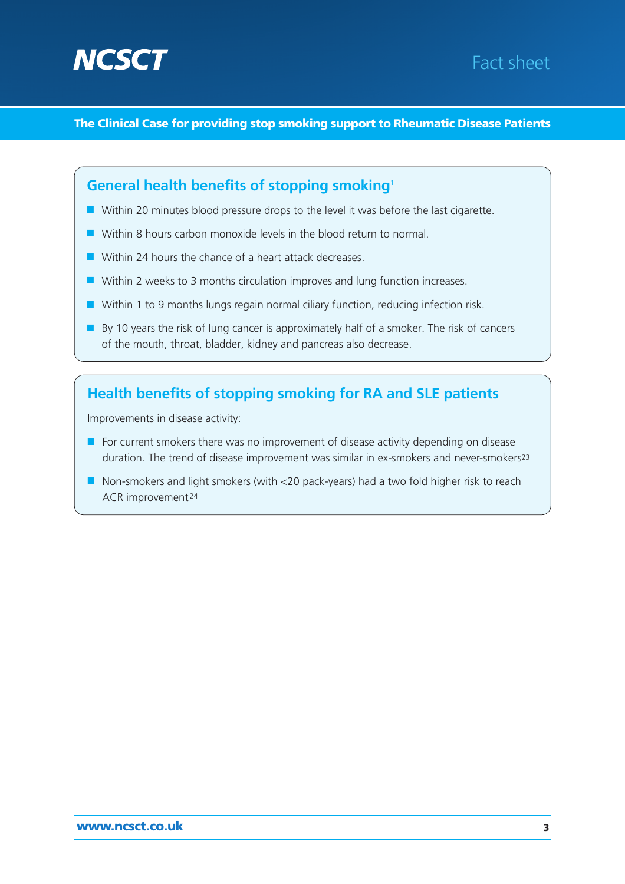



**The Clinical Case for providing stop smoking support to Rheumatic Disease Patients**

### **General health benefits of stopping smoking**<sup>1</sup>

- Within 20 minutes blood pressure drops to the level it was before the last cigarette.
- Within 8 hours carbon monoxide levels in the blood return to normal.
- Within 24 hours the chance of a heart attack decreases.
- Within 2 weeks to 3 months circulation improves and lung function increases.
- Within 1 to 9 months lungs regain normal ciliary function, reducing infection risk.
- By 10 years the risk of lung cancer is approximately half of a smoker. The risk of cancers of the mouth, throat, bladder, kidney and pancreas also decrease.

### **Health benefits of stopping smoking for RA and SLE patients**

Improvements in disease activity:

- For current smokers there was no improvement of disease activity depending on disease duration. The trend of disease improvement was similar in ex-smokers and never-smokers<sup>23</sup>
- Non-smokers and light smokers (with <20 pack-years) had a two fold higher risk to reach ACR improvement <sup>24</sup>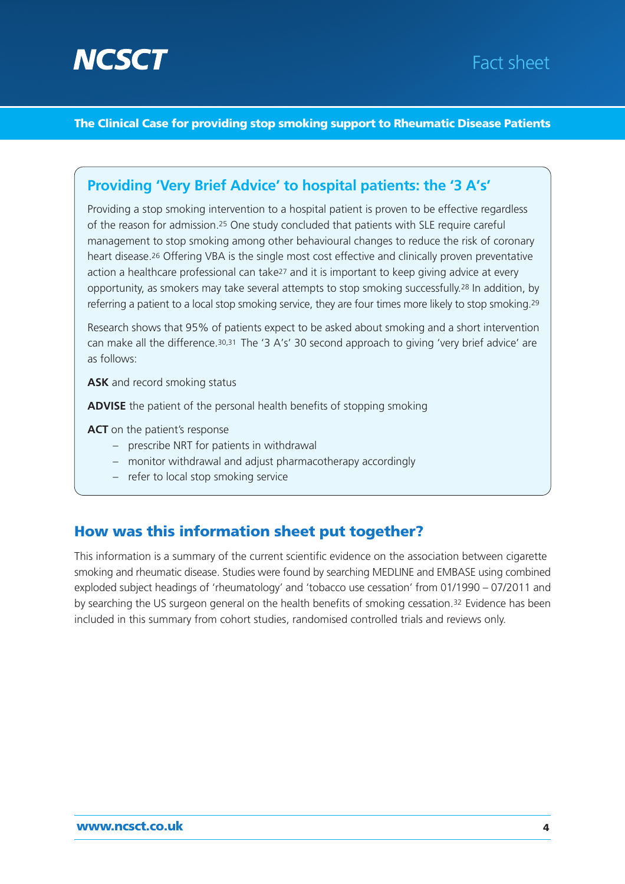

#### **The Clinical Case for providing stop smoking support to Rheumatic Disease Patients**

#### **Providing 'Very Brief Advice' to hospital patients: the '3 A's'**

Providing a stop smoking intervention to a hospital patient is proven to be effective regardless of the reason for admission.25 One study concluded that patients with SLE require careful management to stop smoking among other behavioural changes to reduce the risk of coronary heart disease.<sup>26</sup> Offering VBA is the single most cost effective and clinically proven preventative action a healthcare professional can take27 and it is important to keep giving advice at every opportunity, as smokers may take several attempts to stop smoking successfully.28 In addition, by referring a patient to a local stop smoking service, they are four times more likely to stop smoking.<sup>29</sup>

Research shows that 95% of patients expect to be asked about smoking and a short intervention can make all the difference.<sup>30,31</sup> The '3 A's' 30 second approach to giving 'very brief advice' are as follows:

**ASK** and record smoking status

**ADVISE** the patient of the personal health benefits of stopping smoking

**ACT** on the patient's response

- prescribe NRT for patients in withdrawal
- monitor withdrawal and adjust pharmacotherapy accordingly
- refer to local stop smoking service

#### **How was this information sheet put together?**

This information is a summary of the current scientific evidence on the association between cigarette smoking and rheumatic disease. Studies were found by searching MEDLINE and EMBASE using combined exploded subject headings of 'rheumatology' and 'tobacco use cessation' from 01/1990 – 07/2011 and by searching the US surgeon general on the health benefits of smoking cessation.32 Evidence has been included in this summary from cohort studies, randomised controlled trials and reviews only.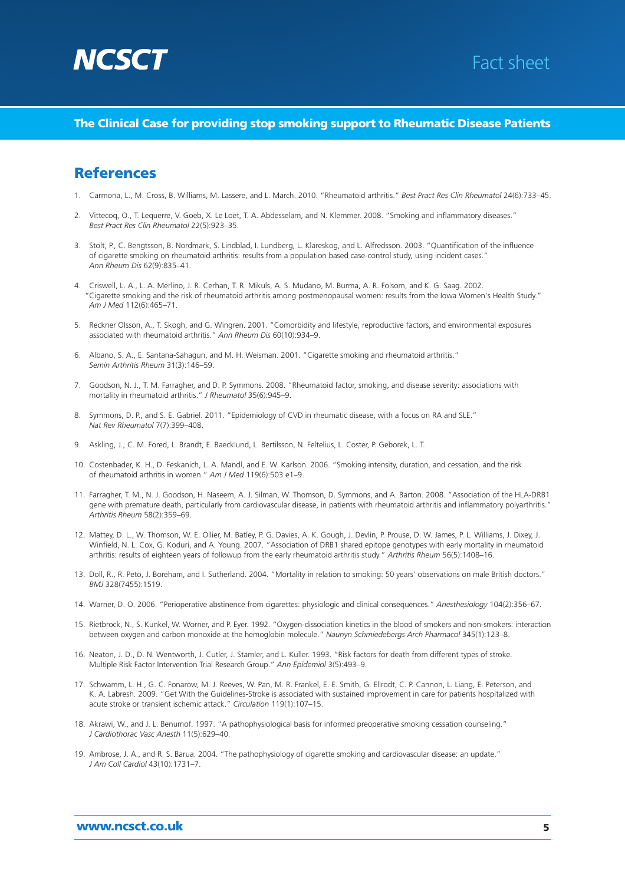



#### **The Clinical Case for providing stop smoking support to Rheumatic Disease Patients**

#### **References**

- 1. Carmona, L., M. Cross, B. Williams, M. Lassere, and L. March. 2010. "Rheumatoid arthritis." *Best Pract Res Clin Rheumatol* 24(6):733–45.
- 2. Vittecoq, O., T. Lequerre, V. Goeb, X. Le Loet, T. A. Abdesselam, and N. Klemmer. 2008. "Smoking and inflammatory diseases." *Best Pract Res Clin Rheumatol* 22(5):923–35.
- 3. Stolt, P., C. Bengtsson, B. Nordmark, S. Lindblad, I. Lundberg, L. Klareskog, and L. Alfredsson. 2003. "Quantification of the influence of cigarette smoking on rheumatoid arthritis: results from a population based case-control study, using incident cases." *Ann Rheum Dis* 62(9):835–41.
- 4. Criswell, L. A., L. A. Merlino, J. R. Cerhan, T. R. Mikuls, A. S. Mudano, M. Burma, A. R. Folsom, and K. G. Saag. 2002. "Cigarette smoking and the risk of rheumatoid arthritis among postmenopausal women: results from the Iowa Women's Health Study." *Am J Med* 112(6):465–71.
- 5. Reckner Olsson, A., T. Skogh, and G. Wingren. 2001. "Comorbidity and lifestyle, reproductive factors, and environmental exposures associated with rheumatoid arthritis." *Ann Rheum Dis* 60(10):934–9.
- 6. Albano, S. A., E. Santana-Sahagun, and M. H. Weisman. 2001. "Cigarette smoking and rheumatoid arthritis." *Semin Arthritis Rheum* 31(3):146–59.
- 7. Goodson, N. J., T. M. Farragher, and D. P. Symmons. 2008. "Rheumatoid factor, smoking, and disease severity: associations with mortality in rheumatoid arthritis." *J Rheumatol* 35(6):945–9.
- 8. Symmons, D. P., and S. E. Gabriel. 2011. "Epidemiology of CVD in rheumatic disease, with a focus on RA and SLE." *Nat Rev Rheumatol* 7(7):399–408.
- 9. Askling, J., C. M. Fored, L. Brandt, E. Baecklund, L. Bertilsson, N. Feltelius, L. Coster, P. Geborek, L. T.
- 10. Costenbader, K. H., D. Feskanich, L. A. Mandl, and E. W. Karlson. 2006. "Smoking intensity, duration, and cessation, and the risk of rheumatoid arthritis in women." *Am J Med* 119(6):503 e1–9.
- 11. Farragher, T. M., N. J. Goodson, H. Naseem, A. J. Silman, W. Thomson, D. Symmons, and A. Barton. 2008. "Association of the HLA-DRB1 gene with premature death, particularly from cardiovascular disease, in patients with rheumatoid arthritis and inflammatory polyarthritis." *Arthritis Rheum* 58(2):359–69.
- 12. Mattey, D. L., W. Thomson, W. E. Ollier, M. Batley, P. G. Davies, A. K. Gough, J. Devlin, P. Prouse, D. W. James, P. L. Williams, J. Dixey, J. Winfield, N. L. Cox, G. Koduri, and A. Young. 2007. "Association of DRB1 shared epitope genotypes with early mortality in rheumatoid arthritis: results of eighteen years of followup from the early rheumatoid arthritis study." *Arthritis Rheum* 56(5):1408–16.
- 13. Doll, R., R. Peto, J. Boreham, and I. Sutherland. 2004. "Mortality in relation to smoking: 50 years' observations on male British doctors." *BMJ* 328(7455):1519.
- 14. Warner, D. O. 2006. "Perioperative abstinence from cigarettes: physiologic and clinical consequences." *Anesthesiology* 104(2):356–67.
- 15. Rietbrock, N., S. Kunkel, W. Worner, and P. Eyer. 1992. "Oxygen-dissociation kinetics in the blood of smokers and non-smokers: interaction between oxygen and carbon monoxide at the hemoglobin molecule." *Naunyn Schmiedebergs Arch Pharmacol* 345(1):123–8.
- 16. Neaton, J. D., D. N. Wentworth, J. Cutler, J. Stamler, and L. Kuller. 1993. "Risk factors for death from different types of stroke. Multiple Risk Factor Intervention Trial Research Group." *Ann Epidemiol* 3(5):493–9.
- 17. Schwamm, L. H., G. C. Fonarow, M. J. Reeves, W. Pan, M. R. Frankel, E. E. Smith, G. Ellrodt, C. P. Cannon, L. Liang, E. Peterson, and K. A. Labresh. 2009. "Get With the Guidelines-Stroke is associated with sustained improvement in care for patients hospitalized with acute stroke or transient ischemic attack." *Circulation* 119(1):107–15.
- 18. Akrawi, W., and J. L. Benumof. 1997. "A pathophysiological basis for informed preoperative smoking cessation counseling." *J Cardiothorac Vasc Anesth* 11(5):629–40.
- 19. Ambrose, J. A., and R. S. Barua. 2004. "The pathophysiology of cigarette smoking and cardiovascular disease: an update." *J Am Coll Cardiol* 43(10):1731–7.